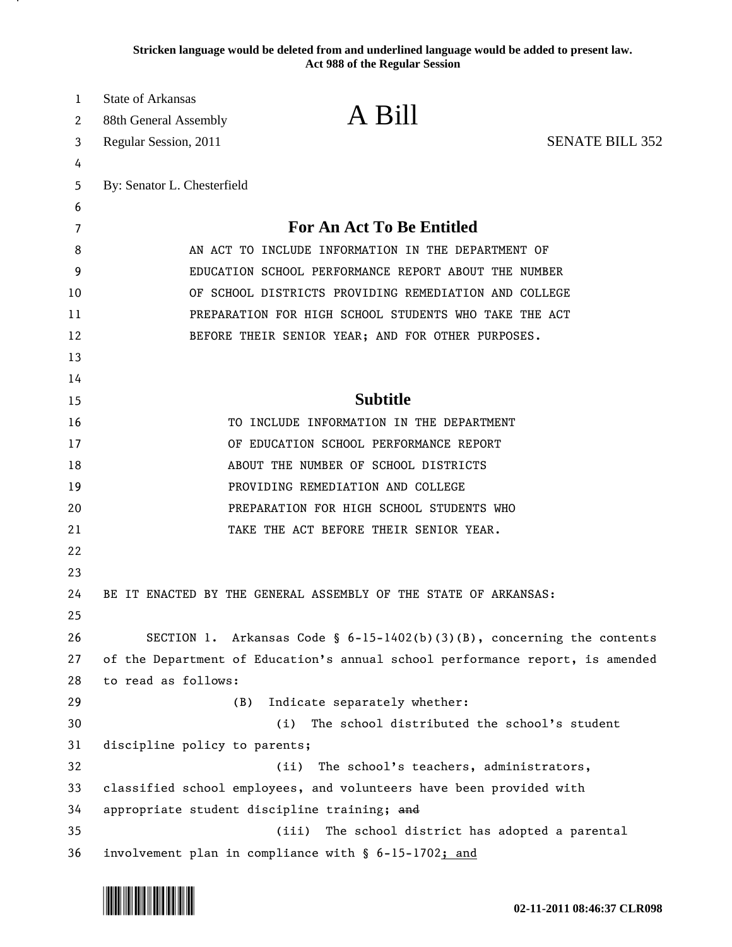**Stricken language would be deleted from and underlined language would be added to present law. Act 988 of the Regular Session**

| 1  | <b>State of Arkansas</b>                                            |                                                                               |                        |
|----|---------------------------------------------------------------------|-------------------------------------------------------------------------------|------------------------|
| 2  | 88th General Assembly                                               | A Bill                                                                        |                        |
| 3  | Regular Session, 2011                                               |                                                                               | <b>SENATE BILL 352</b> |
| 4  |                                                                     |                                                                               |                        |
| 5  | By: Senator L. Chesterfield                                         |                                                                               |                        |
| 6  |                                                                     |                                                                               |                        |
| 7  |                                                                     | <b>For An Act To Be Entitled</b>                                              |                        |
| 8  | AN ACT TO INCLUDE INFORMATION IN THE DEPARTMENT OF                  |                                                                               |                        |
| 9  | EDUCATION SCHOOL PERFORMANCE REPORT ABOUT THE NUMBER                |                                                                               |                        |
| 10 | OF SCHOOL DISTRICTS PROVIDING REMEDIATION AND COLLEGE               |                                                                               |                        |
| 11 | PREPARATION FOR HIGH SCHOOL STUDENTS WHO TAKE THE ACT               |                                                                               |                        |
| 12 |                                                                     | BEFORE THEIR SENIOR YEAR; AND FOR OTHER PURPOSES.                             |                        |
| 13 |                                                                     |                                                                               |                        |
| 14 |                                                                     |                                                                               |                        |
| 15 |                                                                     | <b>Subtitle</b>                                                               |                        |
| 16 |                                                                     | TO INCLUDE INFORMATION IN THE DEPARTMENT                                      |                        |
| 17 |                                                                     | OF EDUCATION SCHOOL PERFORMANCE REPORT                                        |                        |
| 18 |                                                                     | ABOUT THE NUMBER OF SCHOOL DISTRICTS                                          |                        |
| 19 |                                                                     | PROVIDING REMEDIATION AND COLLEGE                                             |                        |
| 20 |                                                                     | PREPARATION FOR HIGH SCHOOL STUDENTS WHO                                      |                        |
| 21 |                                                                     | TAKE THE ACT BEFORE THEIR SENIOR YEAR.                                        |                        |
| 22 |                                                                     |                                                                               |                        |
| 23 |                                                                     |                                                                               |                        |
| 24 |                                                                     | BE IT ENACTED BY THE GENERAL ASSEMBLY OF THE STATE OF ARKANSAS:               |                        |
| 25 |                                                                     |                                                                               |                        |
| 26 |                                                                     | SECTION 1. Arkansas Code § $6-15-1402(b)(3)(B)$ , concerning the contents     |                        |
| 27 |                                                                     | of the Department of Education's annual school performance report, is amended |                        |
| 28 | to read as follows:                                                 |                                                                               |                        |
| 29 | (B)                                                                 | Indicate separately whether:                                                  |                        |
| 30 |                                                                     | The school distributed the school's student<br>(i)                            |                        |
| 31 | discipline policy to parents;                                       |                                                                               |                        |
| 32 |                                                                     | The school's teachers, administrators,<br>(ii)                                |                        |
| 33 | classified school employees, and volunteers have been provided with |                                                                               |                        |
| 34 | appropriate student discipline training; and                        |                                                                               |                        |
| 35 |                                                                     | (iii)<br>The school district has adopted a parental                           |                        |
| 36 |                                                                     | involvement plan in compliance with § 6-15-1702; and                          |                        |